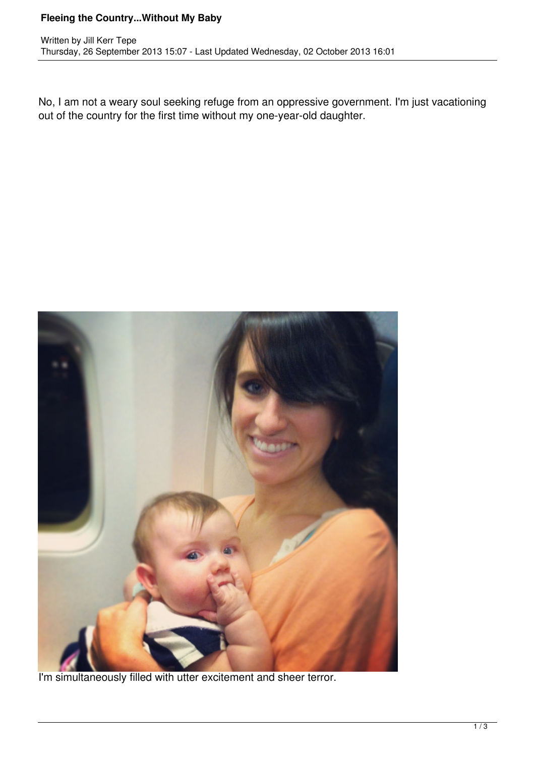## **Fleeing the Country...Without My Baby**

No, I am not a weary soul seeking refuge from an oppressive government. I'm just vacationing out of the country for the first time without my one-year-old daughter.



I'm simultaneously filled with utter excitement and sheer terror.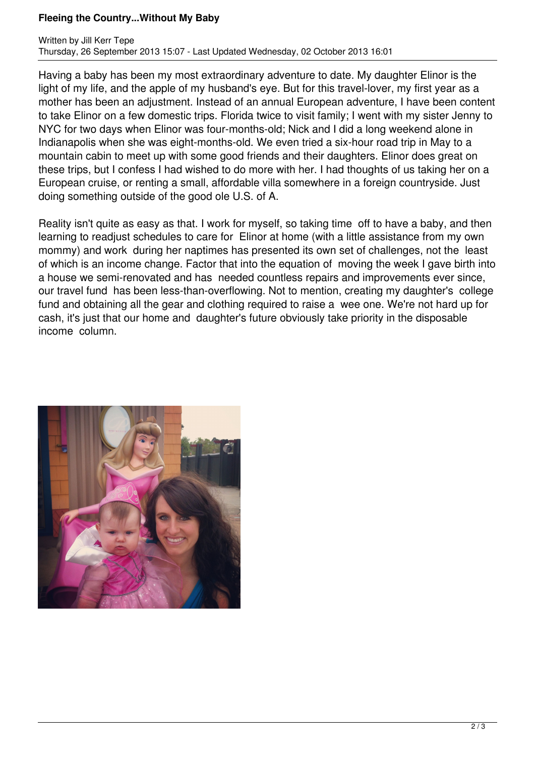## **Fleeing the Country...Without My Baby**

Having a baby has been my most extraordinary adventure to date. My daughter Elinor is the light of my life, and the apple of my husband's eye. But for this travel-lover, my first year as a mother has been an adjustment. Instead of an annual European adventure, I have been content to take Elinor on a few domestic trips. Florida twice to visit family; I went with my sister Jenny to NYC for two days when Elinor was four-months-old; Nick and I did a long weekend alone in Indianapolis when she was eight-months-old. We even tried a six-hour road trip in May to a mountain cabin to meet up with some good friends and their daughters. Elinor does great on these trips, but I confess I had wished to do more with her. I had thoughts of us taking her on a European cruise, or renting a small, affordable villa somewhere in a foreign countryside. Just doing something outside of the good ole U.S. of A.

Reality isn't quite as easy as that. I work for myself, so taking time off to have a baby, and then learning to readjust schedules to care for Elinor at home (with a little assistance from my own mommy) and work during her naptimes has presented its own set of challenges, not the least of which is an income change. Factor that into the equation of moving the week I gave birth into a house we semi-renovated and has needed countless repairs and improvements ever since, our travel fund has been less-than-overflowing. Not to mention, creating my daughter's college fund and obtaining all the gear and clothing required to raise a wee one. We're not hard up for cash, it's just that our home and daughter's future obviously take priority in the disposable income column.